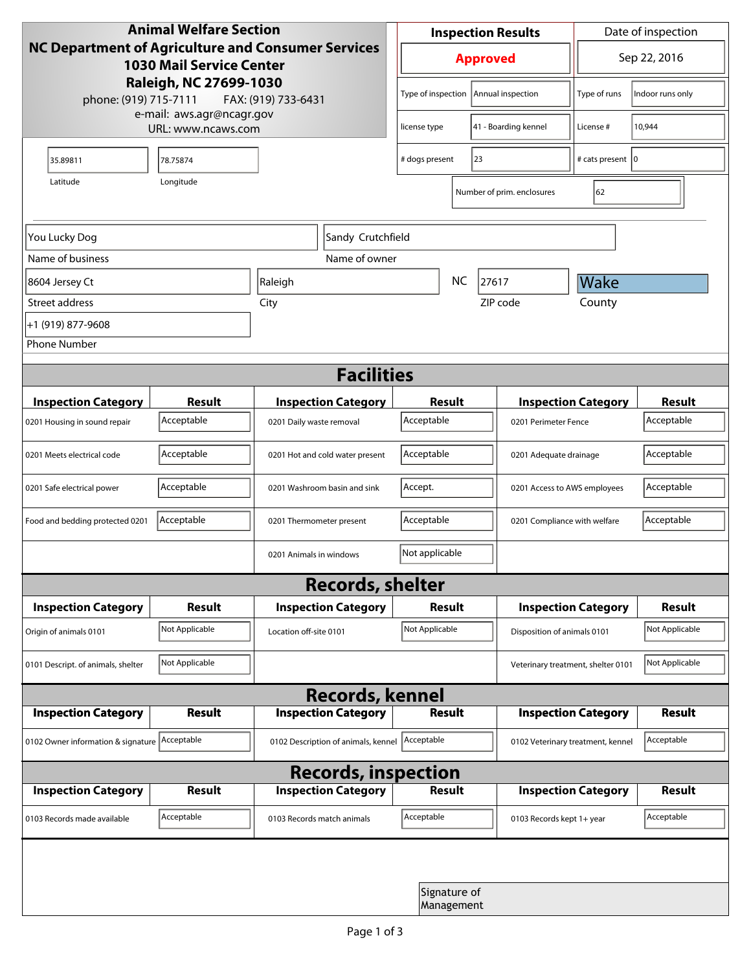| <b>Animal Welfare Section</b><br><b>NC Department of Agriculture and Consumer Services</b><br><b>1030 Mail Service Center</b> |                |                                                        |                            | <b>Inspection Results</b> |                            |                            | Date of inspection                 |                  |  |
|-------------------------------------------------------------------------------------------------------------------------------|----------------|--------------------------------------------------------|----------------------------|---------------------------|----------------------------|----------------------------|------------------------------------|------------------|--|
|                                                                                                                               |                |                                                        |                            | <b>Approved</b>           |                            |                            | Sep 22, 2016                       |                  |  |
| Raleigh, NC 27699-1030<br>phone: (919) 715-7111<br>FAX: (919) 733-6431<br>e-mail: aws.agr@ncagr.gov<br>URL: www.ncaws.com     |                |                                                        |                            | Type of inspection        |                            | Annual inspection          | Type of runs                       | Indoor runs only |  |
|                                                                                                                               |                |                                                        |                            | license type              |                            | 41 - Boarding kennel       | License #                          | 10,944           |  |
| 35.89811                                                                                                                      | 78.75874       |                                                        | 23<br># dogs present       |                           |                            | # cats present   0         |                                    |                  |  |
| Latitude                                                                                                                      | Longitude      |                                                        |                            |                           |                            | Number of prim. enclosures | 62                                 |                  |  |
| You Lucky Dog                                                                                                                 |                |                                                        | Sandy Crutchfield          |                           |                            |                            |                                    |                  |  |
| Name of business                                                                                                              |                |                                                        | Name of owner              |                           |                            |                            |                                    |                  |  |
| 8604 Jersey Ct                                                                                                                | Raleigh        |                                                        |                            |                           | <b>NC</b>                  | 27617                      | Wake                               |                  |  |
| Street address                                                                                                                |                | City                                                   |                            |                           |                            | ZIP code                   | County                             |                  |  |
| +1 (919) 877-9608                                                                                                             |                |                                                        |                            |                           |                            |                            |                                    |                  |  |
| <b>Phone Number</b>                                                                                                           |                |                                                        |                            |                           |                            |                            |                                    |                  |  |
| <b>Facilities</b>                                                                                                             |                |                                                        |                            |                           |                            |                            |                                    |                  |  |
| <b>Inspection Category</b>                                                                                                    | <b>Result</b>  |                                                        |                            | Result                    |                            |                            | <b>Inspection Category</b>         |                  |  |
| 0201 Housing in sound repair                                                                                                  | Acceptable     | <b>Inspection Category</b><br>0201 Daily waste removal |                            | Acceptable                |                            |                            | 0201 Perimeter Fence               |                  |  |
| 0201 Meets electrical code                                                                                                    | Acceptable     | 0201 Hot and cold water present                        |                            | Acceptable                |                            |                            | 0201 Adequate drainage             |                  |  |
| 0201 Safe electrical power                                                                                                    | Acceptable     | 0201 Washroom basin and sink                           |                            | Accept.                   |                            |                            | 0201 Access to AWS employees       |                  |  |
| Food and bedding protected 0201                                                                                               | Acceptable     | 0201 Thermometer present                               |                            | Acceptable                |                            |                            | 0201 Compliance with welfare       |                  |  |
|                                                                                                                               |                | 0201 Animals in windows                                |                            | Not applicable            |                            |                            |                                    |                  |  |
| <b>Records, shelter</b>                                                                                                       |                |                                                        |                            |                           |                            |                            |                                    |                  |  |
| <b>Inspection Category</b>                                                                                                    | Result         |                                                        | <b>Inspection Category</b> | Result                    |                            |                            | <b>Inspection Category</b>         | <b>Result</b>    |  |
| Origin of animals 0101                                                                                                        | Not Applicable | Location off-site 0101                                 |                            | Not Applicable            |                            |                            | Disposition of animals 0101        |                  |  |
| 0101 Descript. of animals, shelter                                                                                            | Not Applicable |                                                        |                            |                           |                            |                            | Veterinary treatment, shelter 0101 | Not Applicable   |  |
| <b>Records, kennel</b>                                                                                                        |                |                                                        |                            |                           |                            |                            |                                    |                  |  |
| <b>Inspection Category</b>                                                                                                    | Result         |                                                        | <b>Inspection Category</b> |                           | <b>Result</b>              |                            | <b>Inspection Category</b>         | Result           |  |
| 0102 Owner information & signature Acceptable                                                                                 |                | 0102 Description of animals, kennel                    |                            | Acceptable                |                            |                            | 0102 Veterinary treatment, kennel  |                  |  |
| <b>Records, inspection</b>                                                                                                    |                |                                                        |                            |                           |                            |                            |                                    |                  |  |
| <b>Inspection Category</b>                                                                                                    | <b>Result</b>  |                                                        | <b>Inspection Category</b> |                           | Result                     |                            | <b>Inspection Category</b>         | <b>Result</b>    |  |
| 0103 Records made available                                                                                                   | Acceptable     | 0103 Records match animals                             |                            | Acceptable                |                            | 0103 Records kept 1+ year  |                                    | Acceptable       |  |
|                                                                                                                               |                |                                                        |                            |                           |                            |                            |                                    |                  |  |
|                                                                                                                               |                |                                                        |                            |                           | Signature of<br>Management |                            |                                    |                  |  |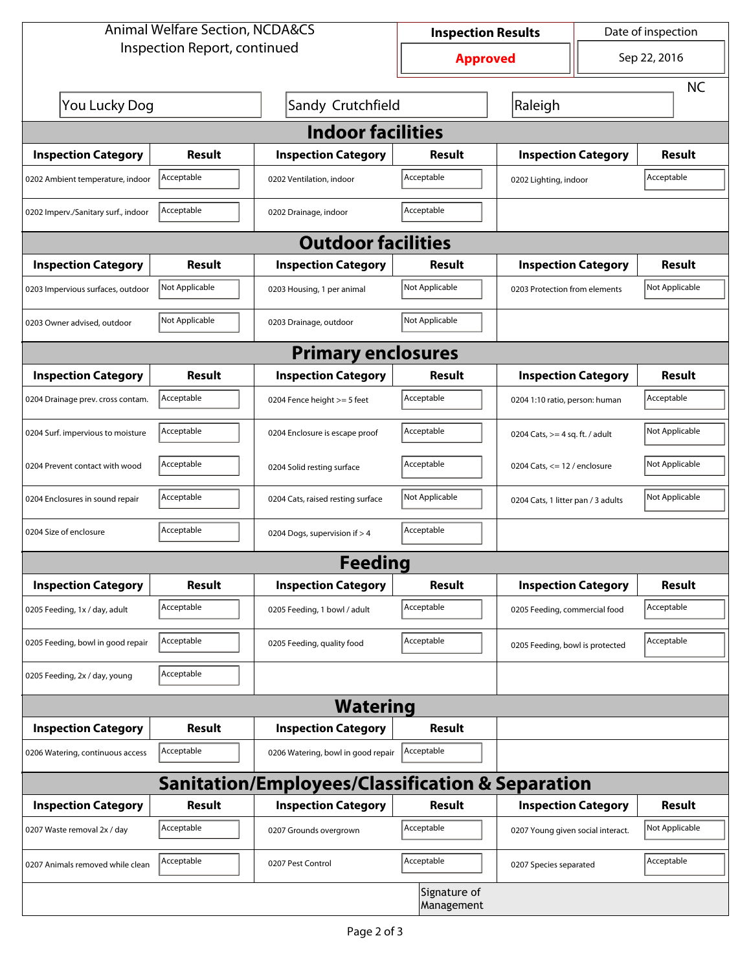| <b>Animal Welfare Section, NCDA&amp;CS</b> |                                    |                                                             | <b>Inspection Results</b>  |                                    | Date of inspection         |                |  |  |  |
|--------------------------------------------|------------------------------------|-------------------------------------------------------------|----------------------------|------------------------------------|----------------------------|----------------|--|--|--|
| Inspection Report, continued               | <b>Approved</b>                    |                                                             | Sep 22, 2016               |                                    |                            |                |  |  |  |
|                                            |                                    |                                                             |                            |                                    |                            | <b>NC</b>      |  |  |  |
|                                            | You Lucky Dog<br>Sandy Crutchfield |                                                             |                            | Raleigh                            |                            |                |  |  |  |
| <b>Indoor facilities</b>                   |                                    |                                                             |                            |                                    |                            |                |  |  |  |
| <b>Inspection Category</b>                 | Result                             | <b>Inspection Category</b>                                  | Result                     | <b>Inspection Category</b>         |                            | Result         |  |  |  |
| 0202 Ambient temperature, indoor           | Acceptable                         | 0202 Ventilation, indoor                                    | Acceptable                 | 0202 Lighting, indoor              |                            | Acceptable     |  |  |  |
| 0202 Imperv./Sanitary surf., indoor        | Acceptable                         | 0202 Drainage, indoor                                       | Acceptable                 |                                    |                            |                |  |  |  |
| <b>Outdoor facilities</b>                  |                                    |                                                             |                            |                                    |                            |                |  |  |  |
| <b>Inspection Category</b>                 | Result                             | <b>Inspection Category</b>                                  | <b>Result</b>              |                                    | <b>Inspection Category</b> |                |  |  |  |
| 0203 Impervious surfaces, outdoor          | Not Applicable                     | 0203 Housing, 1 per animal                                  | Not Applicable             | 0203 Protection from elements      |                            | Not Applicable |  |  |  |
| 0203 Owner advised, outdoor                | Not Applicable                     | 0203 Drainage, outdoor                                      | Not Applicable             |                                    |                            |                |  |  |  |
| <b>Primary enclosures</b>                  |                                    |                                                             |                            |                                    |                            |                |  |  |  |
| <b>Inspection Category</b>                 | Result                             | <b>Inspection Category</b>                                  | Result                     | <b>Inspection Category</b>         |                            | Result         |  |  |  |
| 0204 Drainage prev. cross contam.          | Acceptable                         | 0204 Fence height >= 5 feet                                 | Acceptable                 | 0204 1:10 ratio, person: human     |                            | Acceptable     |  |  |  |
| 0204 Surf. impervious to moisture          | Acceptable                         | 0204 Enclosure is escape proof                              | Acceptable                 | 0204 Cats, $>=$ 4 sq. ft. / adult  |                            | Not Applicable |  |  |  |
| 0204 Prevent contact with wood             | Acceptable                         | 0204 Solid resting surface                                  | Acceptable                 | 0204 Cats, $<= 12$ / enclosure     |                            | Not Applicable |  |  |  |
| 0204 Enclosures in sound repair            | Acceptable                         | 0204 Cats, raised resting surface                           | Not Applicable             | 0204 Cats, 1 litter pan / 3 adults |                            | Not Applicable |  |  |  |
| 0204 Size of enclosure                     | Acceptable                         | 0204 Dogs, supervision if > 4                               | Acceptable                 |                                    |                            |                |  |  |  |
| <b>Feeding</b>                             |                                    |                                                             |                            |                                    |                            |                |  |  |  |
| <b>Inspection Category</b>                 | <b>Result</b>                      | <b>Inspection Category</b>                                  | <b>Result</b>              | <b>Inspection Category</b>         |                            | <b>Result</b>  |  |  |  |
| 0205 Feeding, 1x / day, adult              | Acceptable                         | 0205 Feeding, 1 bowl / adult                                | Acceptable                 | 0205 Feeding, commercial food      |                            | Acceptable     |  |  |  |
| 0205 Feeding, bowl in good repair          | Acceptable                         | 0205 Feeding, quality food                                  | Acceptable                 | 0205 Feeding, bowl is protected    |                            | Acceptable     |  |  |  |
| 0205 Feeding, 2x / day, young              | Acceptable                         |                                                             |                            |                                    |                            |                |  |  |  |
|                                            |                                    | <b>Watering</b>                                             |                            |                                    |                            |                |  |  |  |
| <b>Inspection Category</b>                 | <b>Result</b>                      | <b>Inspection Category</b>                                  | <b>Result</b>              |                                    |                            |                |  |  |  |
| 0206 Watering, continuous access           | Acceptable                         | 0206 Watering, bowl in good repair                          | Acceptable                 |                                    |                            |                |  |  |  |
|                                            |                                    | <b>Sanitation/Employees/Classification &amp; Separation</b> |                            |                                    |                            |                |  |  |  |
| <b>Inspection Category</b>                 | <b>Result</b>                      | <b>Inspection Category</b>                                  | Result                     | <b>Inspection Category</b>         |                            | <b>Result</b>  |  |  |  |
| 0207 Waste removal 2x / day                | Acceptable                         | 0207 Grounds overgrown                                      | Acceptable                 | 0207 Young given social interact.  |                            | Not Applicable |  |  |  |
| 0207 Animals removed while clean           | Acceptable                         | 0207 Pest Control                                           |                            | 0207 Species separated             |                            | Acceptable     |  |  |  |
|                                            |                                    |                                                             | Signature of<br>Management |                                    |                            |                |  |  |  |